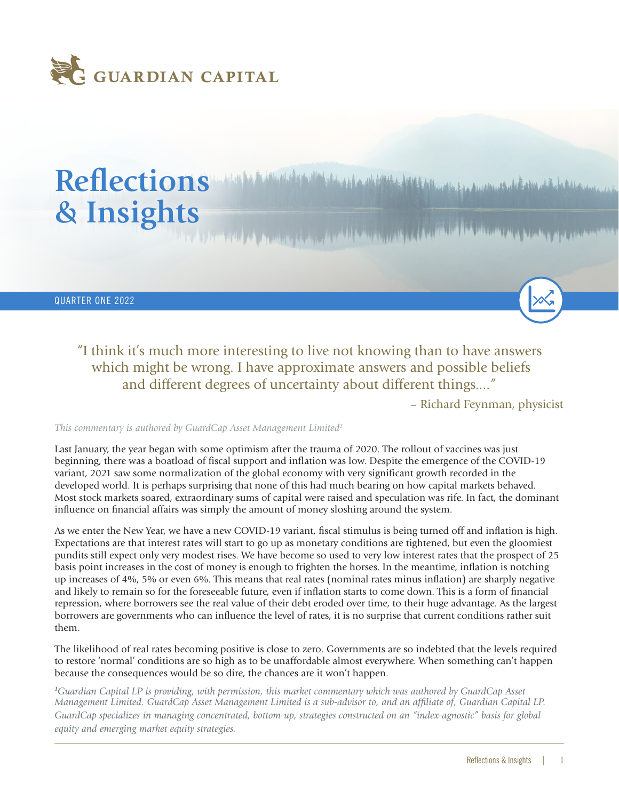

# Reflections *Manufacture Manufacture Address of the Address of the Address of the Address of the Address* **of the Address of the Address of the Address of the Address of the Address of the Address of the Address of the Add & Insights**

QUARTER ONE 2022

"I think it's much more interesting to live not knowing than to have answers which might be wrong. I have approximate answers and possible beliefs and different degrees of uncertainty about different things...."

– Richard Feynman, physicist

#### *This commentary is authored by GuardCap Asset Management Limited<sup>1</sup>*

Last January, the year began with some optimism after the trauma of 2020. The rollout of vaccines was just beginning, there was a boatload of fiscal support and inflation was low. Despite the emergence of the COVID-19 variant, 2021 saw some normalization of the global economy with very significant growth recorded in the developed world. It is perhaps surprising that none of this had much bearing on how capital markets behaved. Most stock markets soared, extraordinary sums of capital were raised and speculation was rife. In fact, the dominant influence on financial affairs was simply the amount of money sloshing around the system.

As we enter the New Year, we have a new COVID-19 variant, fiscal stimulus is being turned off and inflation is high. Expectations are that interest rates will start to go up as monetary conditions are tightened, but even the gloomiest pundits still expect only very modest rises. We have become so used to very low interest rates that the prospect of 25 basis point increases in the cost of money is enough to frighten the horses. In the meantime, inflation is notching up increases of 4%, 5% or even 6%. This means that real rates (nominal rates minus inflation) are sharply negative and likely to remain so for the foreseeable future, even if inflation starts to come down. This is a form of financial repression, where borrowers see the real value of their debt eroded over time, to their huge advantage. As the largest borrowers are governments who can influence the level of rates, it is no surprise that current conditions rather suit them.

The likelihood of real rates becoming positive is close to zero. Governments are so indebted that the levels required to restore 'normal' conditions are so high as to be unaffordable almost everywhere. When something can't happen because the consequences would be so dire, the chances are it won't happen.

*<sup>1</sup>Guardian Capital LP is providing, with permission, this market commentary which was authored by GuardCap Asset Management Limited. GuardCap Asset Management Limited is a sub-advisor to, and an affiliate of, Guardian Capital LP. GuardCap specializes in managing concentrated, bottom-up, strategies constructed on an "index-agnostic" basis for global equity and emerging market equity strategies.*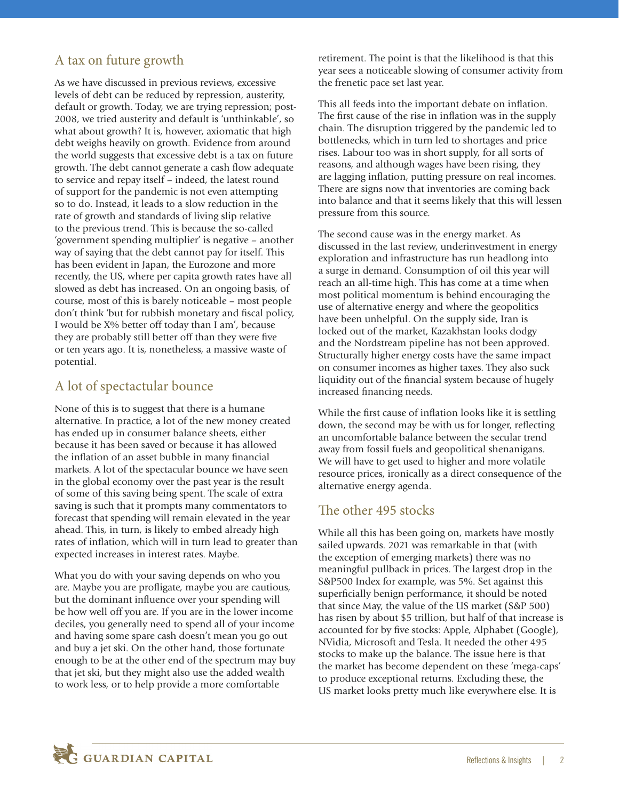### A tax on future growth

As we have discussed in previous reviews, excessive levels of debt can be reduced by repression, austerity, default or growth. Today, we are trying repression; post-2008, we tried austerity and default is 'unthinkable', so what about growth? It is, however, axiomatic that high debt weighs heavily on growth. Evidence from around the world suggests that excessive debt is a tax on future growth. The debt cannot generate a cash flow adequate to service and repay itself – indeed, the latest round of support for the pandemic is not even attempting so to do. Instead, it leads to a slow reduction in the rate of growth and standards of living slip relative to the previous trend. This is because the so-called 'government spending multiplier' is negative – another way of saying that the debt cannot pay for itself. This has been evident in Japan, the Eurozone and more recently, the US, where per capita growth rates have all slowed as debt has increased. On an ongoing basis, of course, most of this is barely noticeable – most people don't think 'but for rubbish monetary and fiscal policy, I would be X% better off today than I am', because they are probably still better off than they were five or ten years ago. It is, nonetheless, a massive waste of potential.

# A lot of spectactular bounce

None of this is to suggest that there is a humane alternative. In practice, a lot of the new money created has ended up in consumer balance sheets, either because it has been saved or because it has allowed the inflation of an asset bubble in many financial markets. A lot of the spectacular bounce we have seen in the global economy over the past year is the result of some of this saving being spent. The scale of extra saving is such that it prompts many commentators to forecast that spending will remain elevated in the year ahead. This, in turn, is likely to embed already high rates of inflation, which will in turn lead to greater than expected increases in interest rates. Maybe.

What you do with your saving depends on who you are. Maybe you are profligate, maybe you are cautious, but the dominant influence over your spending will be how well off you are. If you are in the lower income deciles, you generally need to spend all of your income and having some spare cash doesn't mean you go out and buy a jet ski. On the other hand, those fortunate enough to be at the other end of the spectrum may buy that jet ski, but they might also use the added wealth to work less, or to help provide a more comfortable

retirement. The point is that the likelihood is that this year sees a noticeable slowing of consumer activity from the frenetic pace set last year.

This all feeds into the important debate on inflation. The first cause of the rise in inflation was in the supply chain. The disruption triggered by the pandemic led to bottlenecks, which in turn led to shortages and price rises. Labour too was in short supply, for all sorts of reasons, and although wages have been rising, they are lagging inflation, putting pressure on real incomes. There are signs now that inventories are coming back into balance and that it seems likely that this will lessen pressure from this source.

The second cause was in the energy market. As discussed in the last review, underinvestment in energy exploration and infrastructure has run headlong into a surge in demand. Consumption of oil this year will reach an all-time high. This has come at a time when most political momentum is behind encouraging the use of alternative energy and where the geopolitics have been unhelpful. On the supply side, Iran is locked out of the market, Kazakhstan looks dodgy and the Nordstream pipeline has not been approved. Structurally higher energy costs have the same impact on consumer incomes as higher taxes. They also suck liquidity out of the financial system because of hugely increased financing needs.

While the first cause of inflation looks like it is settling down, the second may be with us for longer, reflecting an uncomfortable balance between the secular trend away from fossil fuels and geopolitical shenanigans. We will have to get used to higher and more volatile resource prices, ironically as a direct consequence of the alternative energy agenda.

#### The other 495 stocks

While all this has been going on, markets have mostly sailed upwards. 2021 was remarkable in that (with the exception of emerging markets) there was no meaningful pullback in prices. The largest drop in the S&P500 Index for example, was 5%. Set against this superficially benign performance, it should be noted that since May, the value of the US market (S&P 500) has risen by about \$5 trillion, but half of that increase is accounted for by five stocks: Apple, Alphabet (Google), NVidia, Microsoft and Tesla. It needed the other 495 stocks to make up the balance. The issue here is that the market has become dependent on these 'mega-caps' to produce exceptional returns. Excluding these, the US market looks pretty much like everywhere else. It is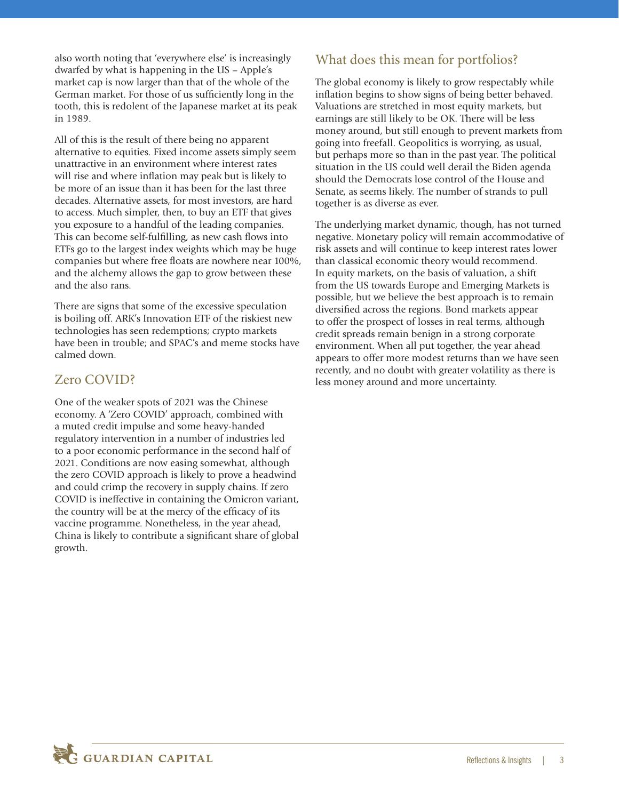also worth noting that 'everywhere else' is increasingly dwarfed by what is happening in the US – Apple's market cap is now larger than that of the whole of the German market. For those of us sufficiently long in the tooth, this is redolent of the Japanese market at its peak in 1989.

All of this is the result of there being no apparent alternative to equities. Fixed income assets simply seem unattractive in an environment where interest rates will rise and where inflation may peak but is likely to be more of an issue than it has been for the last three decades. Alternative assets, for most investors, are hard to access. Much simpler, then, to buy an ETF that gives you exposure to a handful of the leading companies. This can become self-fulfilling, as new cash flows into ETFs go to the largest index weights which may be huge companies but where free floats are nowhere near 100%, and the alchemy allows the gap to grow between these and the also rans.

There are signs that some of the excessive speculation is boiling off. ARK's Innovation ETF of the riskiest new technologies has seen redemptions; crypto markets have been in trouble; and SPAC's and meme stocks have calmed down.

## Zero COVID?

One of the weaker spots of 2021 was the Chinese economy. A 'Zero COVID' approach, combined with a muted credit impulse and some heavy-handed regulatory intervention in a number of industries led to a poor economic performance in the second half of 2021. Conditions are now easing somewhat, although the zero COVID approach is likely to prove a headwind and could crimp the recovery in supply chains. If zero COVID is ineffective in containing the Omicron variant, the country will be at the mercy of the efficacy of its vaccine programme. Nonetheless, in the year ahead, China is likely to contribute a significant share of global growth.

# What does this mean for portfolios?

The global economy is likely to grow respectably while inflation begins to show signs of being better behaved. Valuations are stretched in most equity markets, but earnings are still likely to be OK. There will be less money around, but still enough to prevent markets from going into freefall. Geopolitics is worrying, as usual, but perhaps more so than in the past year. The political situation in the US could well derail the Biden agenda should the Democrats lose control of the House and Senate, as seems likely. The number of strands to pull together is as diverse as ever.

The underlying market dynamic, though, has not turned negative. Monetary policy will remain accommodative of risk assets and will continue to keep interest rates lower than classical economic theory would recommend. In equity markets, on the basis of valuation, a shift from the US towards Europe and Emerging Markets is possible, but we believe the best approach is to remain diversified across the regions. Bond markets appear to offer the prospect of losses in real terms, although credit spreads remain benign in a strong corporate environment. When all put together, the year ahead appears to offer more modest returns than we have seen recently, and no doubt with greater volatility as there is less money around and more uncertainty.